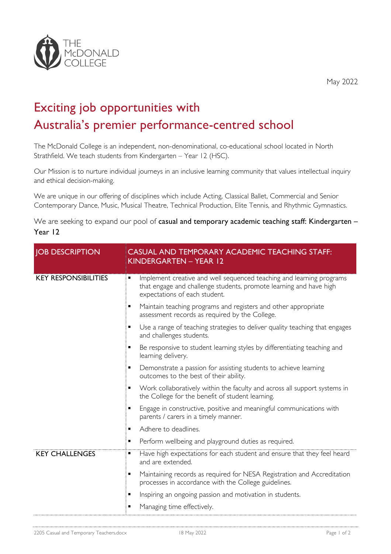

May 2022

## Exciting job opportunities with Australia's premier performance-centred school

The McDonald College is an independent, non-denominational, co-educational school located in North Strathfield. We teach students from Kindergarten – Year 12 (HSC).

Our Mission is to nurture individual journeys in an inclusive learning community that values intellectual inquiry and ethical decision-making.

We are unique in our offering of disciplines which include Acting, Classical Ballet, Commercial and Senior Contemporary Dance, Music, Musical Theatre, Technical Production, Elite Tennis, and Rhythmic Gymnastics.

We are seeking to expand our pool of casual and temporary academic teaching staff: Kindergarten -Year 12

| <b>JOB DESCRIPTION</b>      | CASUAL AND TEMPORARY ACADEMIC TEACHING STAFF:<br>KINDERGARTEN - YEAR 12                                                                                                          |
|-----------------------------|----------------------------------------------------------------------------------------------------------------------------------------------------------------------------------|
| <b>KEY RESPONSIBILITIES</b> | Implement creative and well sequenced teaching and learning programs<br>٠<br>that engage and challenge students, promote learning and have high<br>expectations of each student. |
|                             | Maintain teaching programs and registers and other appropriate<br>٠<br>assessment records as required by the College.                                                            |
|                             | Use a range of teaching strategies to deliver quality teaching that engages<br>and challenges students.                                                                          |
|                             | Be responsive to student learning styles by differentiating teaching and<br>learning delivery.                                                                                   |
|                             | Demonstrate a passion for assisting students to achieve learning<br>٠<br>outcomes to the best of their ability.                                                                  |
|                             | Work collaboratively within the faculty and across all support systems in<br>the College for the benefit of student learning.                                                    |
|                             | Engage in constructive, positive and meaningful communications with<br>parents / carers in a timely manner.                                                                      |
|                             | Adhere to deadlines.<br>٠                                                                                                                                                        |
|                             | Perform wellbeing and playground duties as required.<br>٠                                                                                                                        |
| <b>KEY CHALLENGES</b>       | Have high expectations for each student and ensure that they feel heard<br>٠<br>and are extended.                                                                                |
|                             | Maintaining records as required for NESA Registration and Accreditation<br>٠<br>processes in accordance with the College guidelines.                                             |
|                             | Inspiring an ongoing passion and motivation in students.<br>٠                                                                                                                    |
|                             | Managing time effectively.                                                                                                                                                       |